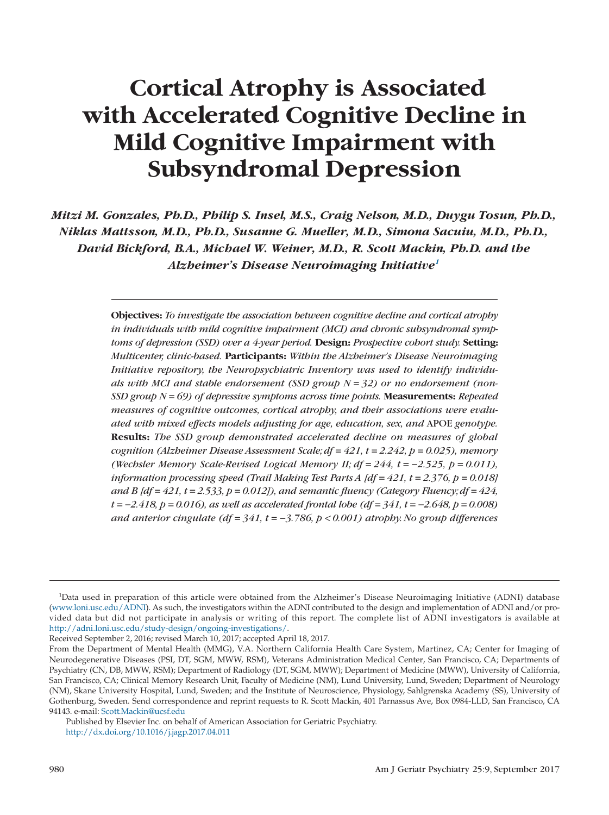# **Cortical Atrophy is Associated with Accelerated Cognitive Decline in Mild Cognitive Impairment with Subsyndromal Depression**

*Mitzi M. Gonzales, Ph.D., Philip S. Insel, M.S., Craig Nelson, M.D., Duygu Tosun, Ph.D., Niklas Mattsson, M.D., Ph.D., Susanne G. Mueller, M.D., Simona Sacuiu, M.D., Ph.D., David Bickford, B.A., Michael W. Weiner, M.D., R. Scott Mackin, Ph.D. and the Alzheimer's Disease Neuroimaging Initiativ[e1](#page-0-0)*

> **Objectives:** *To investigate the association between cognitive decline and cortical atrophy in individuals with mild cognitive impairment (MCI) and chronic subsyndromal symptoms of depression (SSD) over a 4-year period.* **Design:** *Prospective cohort study.* **Setting:** *Multicenter, clinic-based.* **Participants:** *Within the Alzheimer's Disease Neuroimaging Initiative repository, the Neuropsychiatric Inventory was used to identify individuals with MCI and stable endorsement (SSD group N = 32) or no endorsement (non-SSD group N = 69) of depressive symptoms across time points.* **Measurements:** *Repeated measures of cognitive outcomes, cortical atrophy, and their associations were evaluated with mixed effects models adjusting for age, education, sex, and* APOE *genotype.* **Results:** *The SSD group demonstrated accelerated decline on measures of global cognition (Alzheimer Disease Assessment Scale; df = 421, t = 2.242, p = 0.025), memory (Wechsler Memory Scale-Revised Logical Memory II; df = 244, t = −2.525, p = 0.011), information processing speed (Trail Making Test Parts A [df = 421, t = 2.376, p = 0.018] and B [df = 421, t = 2.533, p = 0.012]), and semantic fluency (Category Fluency;df = 424, t = −2.418, p = 0.016), as well as accelerated frontal lobe (df = 341, t = −2.648, p = 0.008) and anterior cingulate (df = 341, t = −3.786, p < 0.001) atrophy. No group differences*

Received September 2, 2016; revised March 10, 2017; accepted April 18, 2017.

<span id="page-0-0"></span><sup>1</sup> Data used in preparation of this article were obtained from the Alzheimer's Disease Neuroimaging Initiative (ADNI) database [\(www.loni.usc.edu/ADNI\)](http://www.loni.usc.edu/ADNI). As such, the investigators within the ADNI contributed to the design and implementation of ADNI and/or provided data but did not participate in analysis or writing of this report. The complete list of ADNI investigators is available at [http://adni.loni.usc.edu/study-design/ongoing-investigations/.](http://adni.loni.usc.edu/study-design/ongoing-investigations/)

From the Department of Mental Health (MMG), V.A. Northern California Health Care System, Martinez, CA; Center for Imaging of Neurodegenerative Diseases (PSI, DT, SGM, MWW, RSM), Veterans Administration Medical Center, San Francisco, CA; Departments of Psychiatry (CN, DB, MWW, RSM); Department of Radiology (DT, SGM, MWW); Department of Medicine (MWW), University of California, San Francisco, CA; Clinical Memory Research Unit, Faculty of Medicine (NM), Lund University, Lund, Sweden; Department of Neurology (NM), Skane University Hospital, Lund, Sweden; and the Institute of Neuroscience, Physiology, Sahlgrenska Academy (SS), University of Gothenburg, Sweden. Send correspondence and reprint requests to R. Scott Mackin, 401 Parnassus Ave, Box 0984-LLD, San Francisco, CA 94143. e-mail: [Scott.Mackin@ucsf.edu](mailto:Scott.Mackin@ucsf.edu)

Published by Elsevier Inc. on behalf of American Association for Geriatric Psychiatry. http://dx.doi.org/10.1016/j.jagp.2017.04.011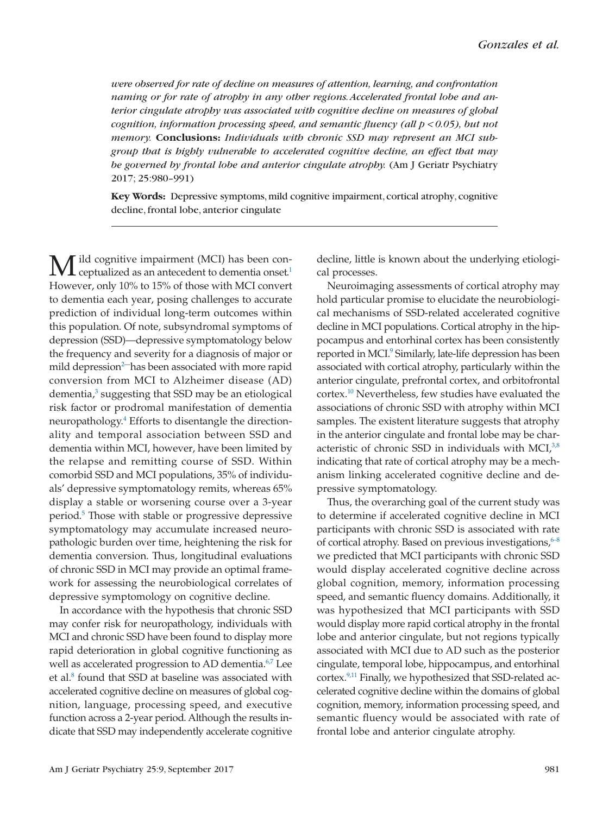*were observed for rate of decline on measures of attention, learning, and confrontation naming or for rate of atrophy in any other regions.Accelerated frontal lobe and anterior cingulate atrophy was associated with cognitive decline on measures of global cognition, information processing speed, and semantic fluency (all p < 0.05), but not memory.* **Conclusions:** *Individuals with chronic SSD may represent an MCI subgroup that is highly vulnerable to accelerated cognitive decline, an effect that may be governed by frontal lobe and anterior cingulate atrophy.* (Am J Geriatr Psychiatry 2017; 25:980–991)

**Key Words:** Depressive symptoms, mild cognitive impairment, cortical atrophy, cognitive decline, frontal lobe, anterior cingulate

M ild cognitive impairment (MCI) has been con-<br>Leptualized as an antecedent to dementia onset.<sup>1</sup> However, only 10% to 15% of those with MCI convert to dementia each year, posing challenges to accurate prediction of individual long-term outcomes within this population. Of note, subsyndromal symptoms of depression (SSD)—depressive symptomatology below the frequency and severity for a diagnosis of major or mild depression<sup>2---</sup>has been associated with more rapid conversion from MCI to Alzheimer disease (AD) dementia, $3$  suggesting that SSD may be an etiological risk factor or prodromal manifestation of dementia neuropathology[.4](#page-10-3) Efforts to disentangle the directionality and temporal association between SSD and dementia within MCI, however, have been limited by the relapse and remitting course of SSD. Within comorbid SSD and MCI populations, 35% of individuals' depressive symptomatology remits, whereas 65% display a stable or worsening course over a 3-year period[.5](#page-10-4) Those with stable or progressive depressive symptomatology may accumulate increased neuropathologic burden over time, heightening the risk for dementia conversion. Thus, longitudinal evaluations of chronic SSD in MCI may provide an optimal framework for assessing the neurobiological correlates of depressive symptomology on cognitive decline.

In accordance with the hypothesis that chronic SSD may confer risk for neuropathology, individuals with MCI and chronic SSD have been found to display more rapid deterioration in global cognitive functioning as well as accelerated progression to AD dementia.<sup>6,7</sup> Lee et al.<sup>8</sup> found that SSD at baseline was associated with accelerated cognitive decline on measures of global cognition, language, processing speed, and executive function across a 2-year period. Although the results indicate that SSD may independently accelerate cognitive decline, little is known about the underlying etiological processes.

Neuroimaging assessments of cortical atrophy may hold particular promise to elucidate the neurobiological mechanisms of SSD-related accelerated cognitive decline in MCI populations. Cortical atrophy in the hippocampus and entorhinal cortex has been consistently reported in MCI.<sup>9</sup> Similarly, late-life depression has been associated with cortical atrophy, particularly within the anterior cingulate, prefrontal cortex, and orbitofrontal cortex[.10](#page-10-8) Nevertheless, few studies have evaluated the associations of chronic SSD with atrophy within MCI samples. The existent literature suggests that atrophy in the anterior cingulate and frontal lobe may be characteristic of chronic SSD in individuals with MCI $,3,8$ indicating that rate of cortical atrophy may be a mechanism linking accelerated cognitive decline and depressive symptomatology.

Thus, the overarching goal of the current study was to determine if accelerated cognitive decline in MCI participants with chronic SSD is associated with rate of cortical atrophy. Based on previous investigations, $6-8$ we predicted that MCI participants with chronic SSD would display accelerated cognitive decline across global cognition, memory, information processing speed, and semantic fluency domains. Additionally, it was hypothesized that MCI participants with SSD would display more rapid cortical atrophy in the frontal lobe and anterior cingulate, but not regions typically associated with MCI due to AD such as the posterior cingulate, temporal lobe, hippocampus, and entorhinal cortex.<sup>9,11</sup> Finally, we hypothesized that SSD-related accelerated cognitive decline within the domains of global cognition, memory, information processing speed, and semantic fluency would be associated with rate of frontal lobe and anterior cingulate atrophy.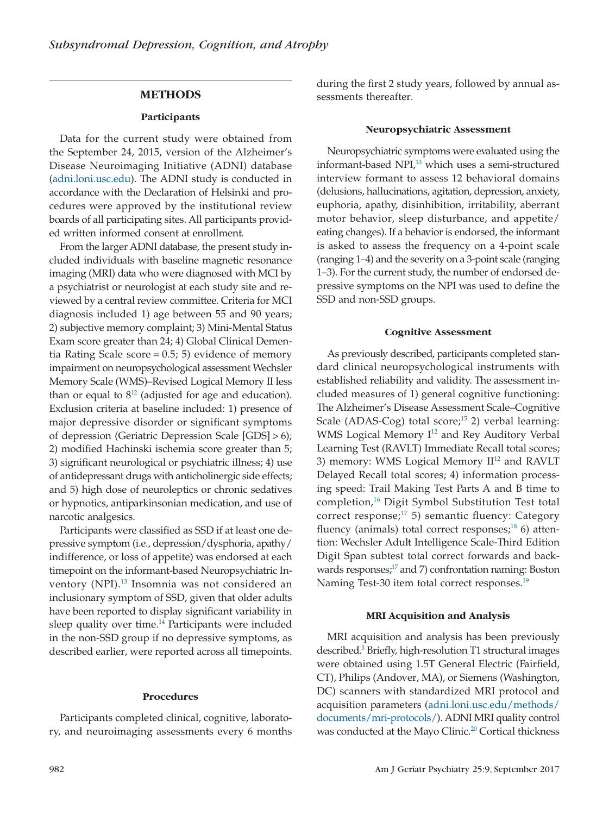# **METHODS**

# **Participants**

Data for the current study were obtained from the September 24, 2015, version of the Alzheimer's Disease Neuroimaging Initiative (ADNI) database [\(adni.loni.usc.edu\)](http://adni.loni.usc.edu). The ADNI study is conducted in accordance with the Declaration of Helsinki and procedures were approved by the institutional review boards of all participating sites. All participants provided written informed consent at enrollment.

From the larger ADNI database, the present study included individuals with baseline magnetic resonance imaging (MRI) data who were diagnosed with MCI by a psychiatrist or neurologist at each study site and reviewed by a central review committee. Criteria for MCI diagnosis included 1) age between 55 and 90 years; 2) subjective memory complaint; 3) Mini-Mental Status Exam score greater than 24; 4) Global Clinical Dementia Rating Scale score =  $0.5$ ; 5) evidence of memory impairment on neuropsychological assessment Wechsler Memory Scale (WMS)–Revised Logical Memory II less than or equal to  $8^{12}$  (adjusted for age and education). Exclusion criteria at baseline included: 1) presence of major depressive disorder or significant symptoms of depression (Geriatric Depression Scale [GDS] > 6); 2) modified Hachinski ischemia score greater than 5; 3) significant neurological or psychiatric illness; 4) use of antidepressant drugs with anticholinergic side effects; and 5) high dose of neuroleptics or chronic sedatives or hypnotics, antiparkinsonian medication, and use of narcotic analgesics.

Participants were classified as SSD if at least one depressive symptom (i.e., depression/dysphoria, apathy/ indifference, or loss of appetite) was endorsed at each timepoint on the informant-based Neuropsychiatric Inventory (NPI).<sup>13</sup> Insomnia was not considered an inclusionary symptom of SSD, given that older adults have been reported to display significant variability in sleep quality over time.<sup>14</sup> Participants were included in the non-SSD group if no depressive symptoms, as described earlier, were reported across all timepoints.

#### **Procedures**

Participants completed clinical, cognitive, laboratory, and neuroimaging assessments every 6 months during the first 2 study years, followed by annual assessments thereafter.

#### **Neuropsychiatric Assessment**

Neuropsychiatric symptoms were evaluated using the informant-based NPI[,13](#page-10-10) which uses a semi-structured interview formant to assess 12 behavioral domains (delusions, hallucinations, agitation, depression, anxiety, euphoria, apathy, disinhibition, irritability, aberrant motor behavior, sleep disturbance, and appetite/ eating changes). If a behavior is endorsed, the informant is asked to assess the frequency on a 4-point scale (ranging 1–4) and the severity on a 3-point scale (ranging 1–3). For the current study, the number of endorsed depressive symptoms on the NPI was used to define the SSD and non-SSD groups.

#### **Cognitive Assessment**

As previously described, participants completed standard clinical neuropsychological instruments with established reliability and validity. The assessment included measures of 1) general cognitive functioning: The Alzheimer's Disease Assessment Scale–Cognitive Scale (ADAS-Cog) total score; $15$  2) verbal learning: WMS Logical Memory I<sup>12</sup> and Rey Auditory Verbal Learning Test (RAVLT) Immediate Recall total scores; 3) memory: WMS Logical Memory  $II^{12}$  and RAVLT Delayed Recall total scores; 4) information processing speed: Trail Making Test Parts A and B time to completion[,16](#page-10-13) Digit Symbol Substitution Test total correct response; $17$  5) semantic fluency: Category fluency (animals) total correct responses; $^{18}$  6) attention: Wechsler Adult Intelligence Scale-Third Edition Digit Span subtest total correct forwards and backwards responses;<sup>17</sup> and 7) confrontation naming: Boston Naming Test-30 item total correct responses.<sup>19</sup>

#### **MRI Acquisition and Analysis**

MRI acquisition and analysis has been previously described.<sup>3</sup> Briefly, high-resolution T1 structural images were obtained using 1.5T General Electric (Fairfield, CT), Philips (Andover, MA), or Siemens (Washington, DC) scanners with standardized MRI protocol and acquisition parameters [\(adni.loni.usc.edu/methods/](http://adni.loni.usc.edu/methods/documents/mri-protocols/) [documents/mri-protocols/\)](http://adni.loni.usc.edu/methods/documents/mri-protocols/). ADNI MRI quality control was conducted at the Mayo Clinic.<sup>20</sup> Cortical thickness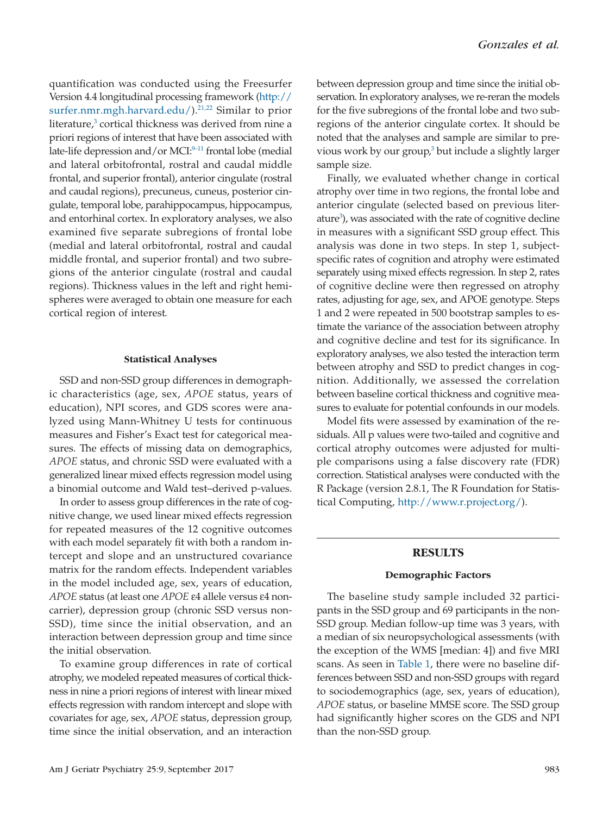quantification was conducted using the Freesurfer Version 4.4 longitudinal processing framework [\(http://](http://surfer.nmr.mgh.harvard.edu/) surfer.nmr.mgh.harvard.edu/ $)$ .<sup>21,22</sup> Similar to prior literature,<sup>3</sup> cortical thickness was derived from nine a priori regions of interest that have been associated with late-life depression and/or MCI:<sup>9-11</sup> frontal lobe (medial and lateral orbitofrontal, rostral and caudal middle frontal, and superior frontal), anterior cingulate (rostral and caudal regions), precuneus, cuneus, posterior cingulate, temporal lobe, parahippocampus, hippocampus, and entorhinal cortex. In exploratory analyses, we also examined five separate subregions of frontal lobe (medial and lateral orbitofrontal, rostral and caudal middle frontal, and superior frontal) and two subregions of the anterior cingulate (rostral and caudal regions). Thickness values in the left and right hemispheres were averaged to obtain one measure for each cortical region of interest.

# **Statistical Analyses**

SSD and non-SSD group differences in demographic characteristics (age, sex, *APOE* status, years of education), NPI scores, and GDS scores were analyzed using Mann-Whitney U tests for continuous measures and Fisher's Exact test for categorical measures. The effects of missing data on demographics, *APOE* status, and chronic SSD were evaluated with a generalized linear mixed effects regression model using a binomial outcome and Wald test–derived p-values.

In order to assess group differences in the rate of cognitive change, we used linear mixed effects regression for repeated measures of the 12 cognitive outcomes with each model separately fit with both a random intercept and slope and an unstructured covariance matrix for the random effects. Independent variables in the model included age, sex, years of education, *APOE* status (at least one *APOE* ε4 allele versus ε4 noncarrier), depression group (chronic SSD versus non-SSD), time since the initial observation, and an interaction between depression group and time since the initial observation.

To examine group differences in rate of cortical atrophy, we modeled repeated measures of cortical thickness in nine a priori regions of interest with linear mixed effects regression with random intercept and slope with covariates for age, sex, *APOE* status, depression group, time since the initial observation, and an interaction between depression group and time since the initial observation. In exploratory analyses, we re-reran the models for the five subregions of the frontal lobe and two subregions of the anterior cingulate cortex. It should be noted that the analyses and sample are similar to previous work by our group,<sup>3</sup> but include a slightly larger sample size.

Finally, we evaluated whether change in cortical atrophy over time in two regions, the frontal lobe and anterior cingulate (selected based on previous literature<sup>3</sup>), was associated with the rate of cognitive decline in measures with a significant SSD group effect. This analysis was done in two steps. In step 1, subjectspecific rates of cognition and atrophy were estimated separately using mixed effects regression. In step 2, rates of cognitive decline were then regressed on atrophy rates, adjusting for age, sex, and APOE genotype. Steps 1 and 2 were repeated in 500 bootstrap samples to estimate the variance of the association between atrophy and cognitive decline and test for its significance. In exploratory analyses, we also tested the interaction term between atrophy and SSD to predict changes in cognition. Additionally, we assessed the correlation between baseline cortical thickness and cognitive measures to evaluate for potential confounds in our models.

Model fits were assessed by examination of the residuals. All p values were two-tailed and cognitive and cortical atrophy outcomes were adjusted for multiple comparisons using a false discovery rate (FDR) correction. Statistical analyses were conducted with the R Package (version 2.8.1, The R Foundation for Statistical Computing, [http://www.r.project.org/\)](http://www.r.project.org/).

# **RESULTS**

#### **Demographic Factors**

The baseline study sample included 32 participants in the SSD group and 69 participants in the non-SSD group. Median follow-up time was 3 years, with a median of six neuropsychological assessments (with the exception of the WMS [median: 4]) and five MRI scans. As seen in [Table 1,](#page-4-0) there were no baseline differences between SSD and non-SSD groups with regard to sociodemographics (age, sex, years of education), *APOE* status, or baseline MMSE score. The SSD group had significantly higher scores on the GDS and NPI than the non-SSD group.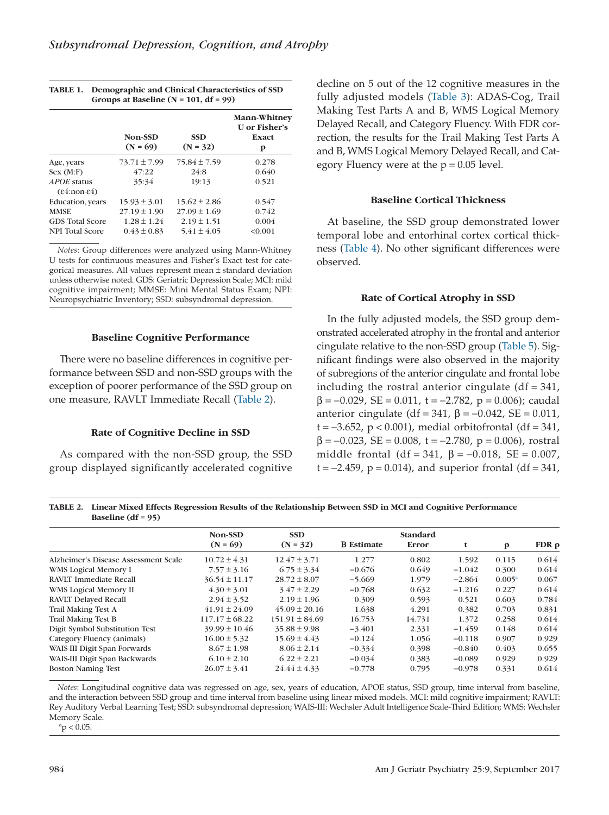|                                         |                  |                  | <b>Mann-Whitney</b><br><b>U</b> or Fisher's |
|-----------------------------------------|------------------|------------------|---------------------------------------------|
|                                         | Non-SSD          | <b>SSD</b>       | Exact                                       |
|                                         | $(N = 69)$       | $(N = 32)$       | р                                           |
| Age, years                              | $73.71 \pm 7.99$ | $75.84 \pm 7.59$ | 0.278                                       |
| Sex (M:F)                               | 47:22            | 24:8             | 0.640                                       |
| <i>APOE</i> status<br>$($ £4:non-£4 $)$ | 35:34            | 19:13            | 0.521                                       |
| Education, years                        | $15.93 \pm 3.01$ | $15.62 \pm 2.86$ | 0.547                                       |
| <b>MMSE</b>                             | $27.19 \pm 1.90$ | $27.09 \pm 1.69$ | 0.742                                       |
| <b>GDS</b> Total Score                  | $1.28 \pm 1.24$  | $2.19 \pm 1.51$  | 0.004                                       |
| <b>NPI</b> Total Score                  | $0.43 \pm 0.83$  | $5.41 \pm 4.05$  | < 0.001                                     |

<span id="page-4-0"></span>

| TABLE 1. Demographic and Clinical Characteristics of SSD |
|----------------------------------------------------------|
| Groups at Baseline ( $N = 101$ , df = 99)                |

*Notes*: Group differences were analyzed using Mann-Whitney U tests for continuous measures and Fisher's Exact test for categorical measures. All values represent mean ± standard deviation unless otherwise noted. GDS: Geriatric Depression Scale; MCI: mild cognitive impairment; MMSE: Mini Mental Status Exam; NPI: Neuropsychiatric Inventory; SSD: subsyndromal depression.

# **Baseline Cognitive Performance**

There were no baseline differences in cognitive performance between SSD and non-SSD groups with the exception of poorer performance of the SSD group on one measure, RAVLT Immediate Recall (Table 2).

# **Rate of Cognitive Decline in SSD**

As compared with the non-SSD group, the SSD group displayed significantly accelerated cognitive decline on 5 out of the 12 cognitive measures in the fully adjusted models [\(Table 3\)](#page-5-0): ADAS-Cog, Trail Making Test Parts A and B, WMS Logical Memory Delayed Recall, and Category Fluency. With FDR correction, the results for the Trail Making Test Parts A and B, WMS Logical Memory Delayed Recall, and Category Fluency were at the  $p = 0.05$  level.

### **Baseline Cortical Thickness**

At baseline, the SSD group demonstrated lower temporal lobe and entorhinal cortex cortical thickness [\(Table 4\)](#page-5-0). No other significant differences were observed.

### **Rate of Cortical Atrophy in SSD**

In the fully adjusted models, the SSD group demonstrated accelerated atrophy in the frontal and anterior cingulate relative to the non-SSD group [\(Table 5\)](#page-6-0). Significant findings were also observed in the majority of subregions of the anterior cingulate and frontal lobe including the rostral anterior cingulate  $(df = 341,$  $β = -0.029$ , SE = 0.011, t = -2.782, p = 0.006); caudal anterior cingulate (df = 341, β = -0.042, SE = 0.011, t =  $-3.652$ , p < 0.001), medial orbitofrontal (df = 341, β=−0.023, SE = 0.008, t = −2.780, p = 0.006), rostral middle frontal (df = 341,  $\beta$  = -0.018, SE = 0.007, t =  $-2.459$ , p = 0.014), and superior frontal (df = 341,

**TABLE 2. Linear Mixed Effects Regression Results of the Relationship Between SSD in MCI and Cognitive Performance Baseline (df = 95)**

|                                      |                       | <b>SSD</b>         |                   | Standard |          |                    |       |
|--------------------------------------|-----------------------|--------------------|-------------------|----------|----------|--------------------|-------|
|                                      | Non-SSD<br>$(N = 69)$ | $(N = 32)$         | <b>B</b> Estimate | Error    | t        | p                  | FDR p |
| Alzheimer's Disease Assessment Scale | $10.72 \pm 4.31$      | $12.47 \pm 3.71$   | 1.277             | 0.802    | 1.592    | 0.115              | 0.614 |
| WMS Logical Memory I                 | $7.57 \pm 3.16$       | $6.75 \pm 3.34$    | $-0.676$          | 0.649    | $-1.042$ | 0.300              | 0.614 |
| <b>RAVLT Immediate Recall</b>        | $36.54 \pm 11.17$     | $28.72 \pm 8.07$   | $-5.669$          | 1.979    | $-2.864$ | 0.005 <sup>a</sup> | 0.067 |
| WMS Logical Memory II                | $4.30 \pm 3.01$       | $3.47 \pm 2.29$    | $-0.768$          | 0.632    | $-1.216$ | 0.227              | 0.614 |
| <b>RAVLT Delayed Recall</b>          | $2.94 \pm 3.52$       | $2.19 \pm 1.96$    | 0.309             | 0.593    | 0.521    | 0.603              | 0.784 |
| <b>Trail Making Test A</b>           | $41.91 \pm 24.09$     | $45.09 \pm 20.16$  | 1.638             | 4.291    | 0.382    | 0.703              | 0.831 |
| <b>Trail Making Test B</b>           | $117.17 \pm 68.22$    | $151.91 \pm 84.69$ | 16.753            | 14.731   | 1.372    | 0.258              | 0.614 |
| Digit Symbol Substitution Test       | $39.99 \pm 10.46$     | $35.88 \pm 9.98$   | $-3.401$          | 2.331    | $-1.459$ | 0.148              | 0.614 |
| Category Fluency (animals)           | $16.00 \pm 5.32$      | $15.69 \pm 4.43$   | $-0.124$          | 1.056    | $-0.118$ | 0.907              | 0.929 |
| WAIS-III Digit Span Forwards         | $8.67 \pm 1.98$       | $8.06 \pm 2.14$    | $-0.334$          | 0.398    | $-0.840$ | 0.403              | 0.655 |
| WAIS-III Digit Span Backwards        | $6.10 \pm 2.10$       | $6.22 \pm 2.21$    | $-0.034$          | 0.383    | $-0.089$ | 0.929              | 0.929 |
| <b>Boston Naming Test</b>            | $26.07 \pm 3.41$      | $24.44 \pm 4.33$   | $-0.778$          | 0.795    | $-0.978$ | 0.331              | 0.614 |

*Notes*: Longitudinal cognitive data was regressed on age, sex, years of education, APOE status, SSD group, time interval from baseline, and the interaction between SSD group and time interval from baseline using linear mixed models. MCI: mild cognitive impairment; RAVLT: Rey Auditory Verbal Learning Test; SSD: subsyndromal depression; WAIS-III: Wechsler Adult Intelligence Scale-Third Edition; WMS: Wechsler Memory Scale.

<span id="page-4-1"></span> $\mathrm{^{a}p} < 0.05$ .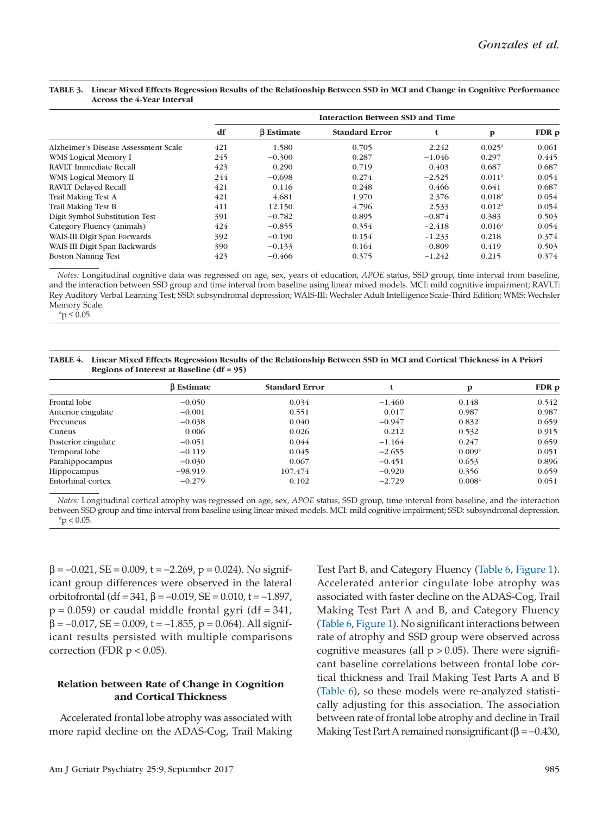|                                      | <b>Interaction Between SSD and Time</b> |                  |                       |          |                    |       |  |
|--------------------------------------|-----------------------------------------|------------------|-----------------------|----------|--------------------|-------|--|
|                                      | df                                      | $\beta$ Estimate | <b>Standard Error</b> | t        | $\mathbf{p}$       | FDR p |  |
| Alzheimer's Disease Assessment Scale | 421                                     | 1.580            | 0.705                 | 2.242    | $0.025^a$          | 0.061 |  |
| WMS Logical Memory I                 | 245                                     | $-0.300$         | 0.287                 | $-1.046$ | 0.297              | 0.445 |  |
| <b>RAVLT Immediate Recall</b>        | 423                                     | 0.290            | 0.719                 | 0.403    | 0.687              | 0.687 |  |
| WMS Logical Memory II                | 244                                     | $-0.698$         | 0.274                 | $-2.525$ | 0.011 <sup>a</sup> | 0.054 |  |
| <b>RAVLT Delayed Recall</b>          | 421                                     | 0.116            | 0.248                 | 0.466    | 0.641              | 0.687 |  |
| <b>Trail Making Test A</b>           | 421                                     | 4.681            | 1.970                 | 2.376    | $0.018^a$          | 0.054 |  |
| <b>Trail Making Test B</b>           | 411                                     | 12.150           | 4.796                 | 2.533    | $0.012^a$          | 0.054 |  |
| Digit Symbol Substitution Test       | 391                                     | $-0.782$         | 0.895                 | $-0.874$ | 0.383              | 0.503 |  |
| Category Fluency (animals)           | 424                                     | $-0.855$         | 0.354                 | $-2.418$ | $0.016^a$          | 0.054 |  |
| WAIS-III Digit Span Forwards         | 392                                     | $-0.190$         | 0.154                 | $-1.233$ | 0.218              | 0.374 |  |
| WAIS-III Digit Span Backwards        | 390                                     | $-0.133$         | 0.164                 | $-0.809$ | 0.419              | 0.503 |  |
| <b>Boston Naming Test</b>            | 423                                     | $-0.466$         | 0.375                 | $-1.242$ | 0.215              | 0.374 |  |

#### <span id="page-5-0"></span>**TABLE 3. Linear Mixed Effects Regression Results of the Relationship Between SSD in MCI and Change in Cognitive Performance Across the 4-Year Interval**

*Notes:* Longitudinal cognitive data was regressed on age, sex, years of education, *APOE* status, SSD group, time interval from baseline, and the interaction between SSD group and time interval from baseline using linear mixed models. MCI: mild cognitive impairment; RAVLT: Rey Auditory Verbal Learning Test; SSD: subsyndromal depression; WAIS-III: Wechsler Adult Intelligence Scale-Third Edition; WMS: Wechsler Memory Scale.

<span id="page-5-1"></span> $\mathrm{^{a}p} \leq 0.05.$ 

#### **TABLE 4. Linear Mixed Effects Regression Results of the Relationship Between SSD in MCI and Cortical Thickness in A Priori Regions of Interest at Baseline (df = 95)**

|                     | <b>B</b> Estimate | <b>Standard Error</b> |          |                    | FDR p |
|---------------------|-------------------|-----------------------|----------|--------------------|-------|
| Frontal lobe        | $-0.050$          | 0.034                 | $-1.460$ | 0.148              | 0.542 |
| Anterior cingulate  | $-0.001$          | 0.551                 | 0.017    | 0.987              | 0.987 |
| Precuneus           | $-0.038$          | 0.040                 | $-0.947$ | 0.832              | 0.659 |
| Cuneus              | 0.006             | 0.026                 | 0.212    | 0.532              | 0.915 |
| Posterior cingulate | $-0.051$          | 0.044                 | $-1.164$ | 0.247              | 0.659 |
| Temporal lobe       | $-0.119$          | 0.045                 | $-2.655$ | 0.009 <sup>a</sup> | 0.051 |
| Parahippocampus     | $-0.030$          | 0.067                 | $-0.451$ | 0.653              | 0.896 |
| Hippocampus         | $-98.919$         | 107.474               | $-0.920$ | 0.356              | 0.659 |
| Entorhinal cortex   | $-0.279$          | 0.102                 | $-2.729$ | 0.008 <sup>a</sup> | 0.051 |

<span id="page-5-2"></span>*Notes:* Longitudinal cortical atrophy was regressed on age, sex, *APOE* status, SSD group, time interval from baseline, and the interaction between SSD group and time interval from baseline using linear mixed models. MCI: mild cognitive impairment; SSD: subsyndromal depression.  $\rm{^{a}p} < 0.05$ .

 $\beta = -0.021$ , SE = 0.009, t = -2.269, p = 0.024). No significant group differences were observed in the lateral orbitofrontal (df = 341, β=−0.019, SE = 0.010, t = −1.897,  $p = 0.059$ ) or caudal middle frontal gyri (df = 341,  $\beta = -0.017$ , SE = 0.009, t = -1.855, p = 0.064). All significant results persisted with multiple comparisons correction (FDR  $p < 0.05$ ).

# **Relation between Rate of Change in Cognition and Cortical Thickness**

Accelerated frontal lobe atrophy was associated with more rapid decline on the ADAS-Cog, Trail Making

Test Part B, and Category Fluency [\(Table 6,](#page-6-0) [Figure 1\)](#page-7-0). Accelerated anterior cingulate lobe atrophy was associated with faster decline on the ADAS-Cog, Trail Making Test Part A and B, and Category Fluency [\(Table 6,](#page-6-0) [Figure 1\)](#page-7-0). No significant interactions between rate of atrophy and SSD group were observed across cognitive measures (all  $p > 0.05$ ). There were significant baseline correlations between frontal lobe cortical thickness and Trail Making Test Parts A and B [\(Table 6\)](#page-6-0), so these models were re-analyzed statistically adjusting for this association. The association between rate of frontal lobe atrophy and decline in Trail Making Test Part A remained nonsignificant ( $\beta$  = −0.430,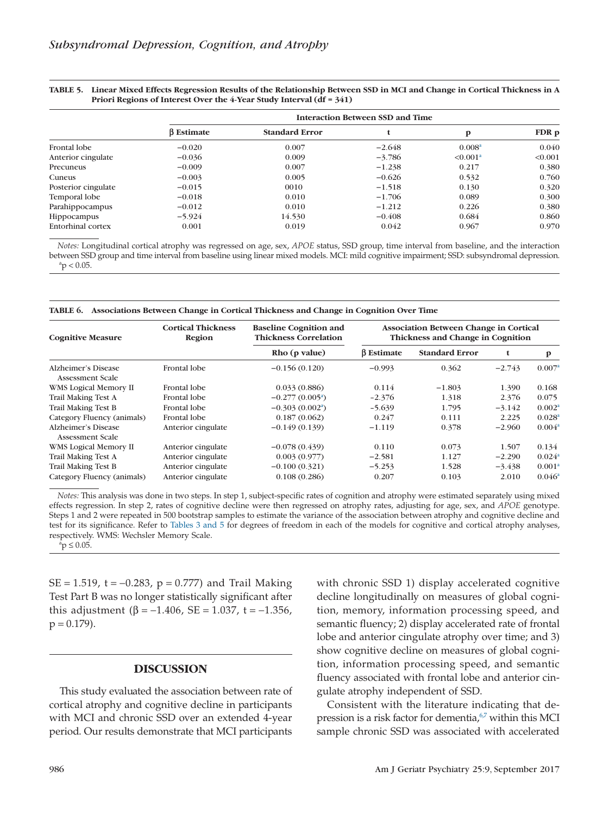<span id="page-6-0"></span>**TABLE 5. Linear Mixed Effects Regression Results of the Relationship Between SSD in MCI and Change in Cortical Thickness in A Priori Regions of Interest Over the 4-Year Study Interval (df = 341)**

|                     | <b>Interaction Between SSD and Time</b> |                       |          |                    |         |  |  |  |
|---------------------|-----------------------------------------|-----------------------|----------|--------------------|---------|--|--|--|
|                     | <b>B</b> Estimate                       | <b>Standard Error</b> |          | р                  | FDR p   |  |  |  |
| Frontal lobe        | $-0.020$                                | 0.007                 | $-2.648$ | 0.008 <sup>a</sup> | 0.040   |  |  |  |
| Anterior cingulate  | $-0.036$                                | 0.009                 | $-3.786$ | $\leq 0.001^a$     | < 0.001 |  |  |  |
| Precuneus           | $-0.009$                                | 0.007                 | $-1.238$ | 0.217              | 0.380   |  |  |  |
| Cuneus              | $-0.003$                                | 0.005                 | $-0.626$ | 0.532              | 0.760   |  |  |  |
| Posterior cingulate | $-0.015$                                | 0010                  | $-1.518$ | 0.130              | 0.320   |  |  |  |
| Temporal lobe       | $-0.018$                                | 0.010                 | $-1.706$ | 0.089              | 0.300   |  |  |  |
| Parahippocampus     | $-0.012$                                | 0.010                 | $-1.212$ | 0.226              | 0.380   |  |  |  |
| <b>Hippocampus</b>  | $-5.924$                                | 14.530                | $-0.408$ | 0.684              | 0.860   |  |  |  |
| Entorhinal cortex   | 0.001                                   | 0.019                 | 0.042    | 0.967              | 0.970   |  |  |  |

<span id="page-6-1"></span>*Notes:* Longitudinal cortical atrophy was regressed on age, sex, *APOE* status, SSD group, time interval from baseline, and the interaction between SSD group and time interval from baseline using linear mixed models. MCI: mild cognitive impairment; SSD: subsyndromal depression.  $\rm{^{a}p} < 0.05$ .

| TABLE 6. Associations Between Change in Cortical Thickness and Change in Cognition Over Time |  |  |  |
|----------------------------------------------------------------------------------------------|--|--|--|
|                                                                                              |  |  |  |

| <b>Cognitive Measure</b>                | <b>Cortical Thickness</b><br>Region | <b>Baseline Cognition and</b><br><b>Thickness Correlation</b> | <b>Association Between Change in Cortical</b><br>Thickness and Change in Cognition |                       |          |                      |
|-----------------------------------------|-------------------------------------|---------------------------------------------------------------|------------------------------------------------------------------------------------|-----------------------|----------|----------------------|
|                                         |                                     | Rho(p value)                                                  | <b>B</b> Estimate                                                                  | <b>Standard Error</b> | t        | p                    |
| Alzheimer's Disease<br>Assessment Scale | Frontal lobe                        | $-0.156(0.120)$                                               | $-0.993$                                                                           | 0.362                 | $-2.743$ | 0.007 <sup>a</sup>   |
| WMS Logical Memory II                   | Frontal lobe                        | 0.033(0.886)                                                  | 0.114                                                                              | $-1.803$              | 1.390    | 0.168                |
| <b>Trail Making Test A</b>              | Frontal lobe                        | $-0.277(0.005^{\circ})$                                       | $-2.376$                                                                           | 1.318                 | 2.376    | 0.075                |
| <b>Trail Making Test B</b>              | Frontal lobe                        | $-0.303(0.002^{\alpha})$                                      | $-5.639$                                                                           | 1.795                 | $-3.142$ | 0.002 <sup>a</sup>   |
| Category Fluency (animals)              | Frontal lobe                        | 0.187(0.062)                                                  | 0.247                                                                              | 0.111                 | 2.225    | 0.028 <sup>a</sup>   |
| Alzheimer's Disease<br>Assessment Scale | Anterior cingulate                  | $-0.149(0.139)$                                               | $-1.119$                                                                           | 0.378                 | $-2.960$ | 0.004 <sup>a</sup>   |
| WMS Logical Memory II                   | Anterior cingulate                  | $-0.078(0.439)$                                               | 0.110                                                                              | 0.073                 | 1.507    | 0.134                |
| <b>Trail Making Test A</b>              | Anterior cingulate                  | 0.003(0.977)                                                  | $-2.581$                                                                           | 1.127                 | $-2.290$ | $0.024$ <sup>a</sup> |
| <b>Trail Making Test B</b>              | Anterior cingulate                  | $-0.100(0.321)$                                               | $-5.253$                                                                           | 1.528                 | $-3.438$ | 0.001 <sup>a</sup>   |
| Category Fluency (animals)              | Anterior cingulate                  | 0.108(0.286)                                                  | 0.207                                                                              | 0.103                 | 2.010    | $0.046^{\rm a}$      |

*Notes:* This analysis was done in two steps. In step 1, subject-specific rates of cognition and atrophy were estimated separately using mixed effects regression. In step 2, rates of cognitive decline were then regressed on atrophy rates, adjusting for age, sex, and *APOE* genotype. Steps 1 and 2 were repeated in 500 bootstrap samples to estimate the variance of the association between atrophy and cognitive decline and test for its significance. Refer to [Tables 3 and 5](#page-5-0) for degrees of freedom in each of the models for cognitive and cortical atrophy analyses, respectively. WMS: Wechsler Memory Scale.

<span id="page-6-2"></span> $\mathrm{^{a}p} \leq 0.05.$ 

SE = 1.519, t =  $-0.283$ , p = 0.777) and Trail Making Test Part B was no longer statistically significant after this adjustment (β = -1.406, SE = 1.037, t = -1.356,  $p = 0.179$ .

### **DISCUSSION**

This study evaluated the association between rate of cortical atrophy and cognitive decline in participants with MCI and chronic SSD over an extended 4-year period. Our results demonstrate that MCI participants with chronic SSD 1) display accelerated cognitive decline longitudinally on measures of global cognition, memory, information processing speed, and semantic fluency; 2) display accelerated rate of frontal lobe and anterior cingulate atrophy over time; and 3) show cognitive decline on measures of global cognition, information processing speed, and semantic fluency associated with frontal lobe and anterior cingulate atrophy independent of SSD.

Consistent with the literature indicating that depression is a risk factor for dementia, $67$  within this MCI sample chronic SSD was associated with accelerated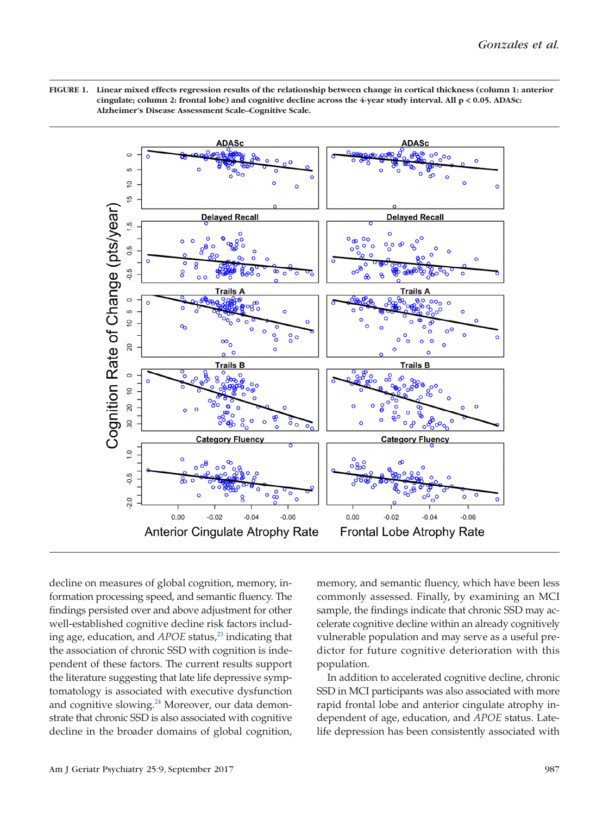<span id="page-7-0"></span>



decline on measures of global cognition, memory, information processing speed, and semantic fluency. The findings persisted over and above adjustment for other well-established cognitive decline risk factors including age, education, and *APOE* status,<sup>23</sup> indicating that the association of chronic SSD with cognition is independent of these factors. The current results support the literature suggesting that late life depressive symptomatology is associated with executive dysfunction and cognitive slowing.<sup>24</sup> Moreover, our data demonstrate that chronic SSD is also associated with cognitive decline in the broader domains of global cognition,

memory, and semantic fluency, which have been less commonly assessed. Finally, by examining an MCI sample, the findings indicate that chronic SSD may accelerate cognitive decline within an already cognitively vulnerable population and may serve as a useful predictor for future cognitive deterioration with this population.

In addition to accelerated cognitive decline, chronic SSD in MCI participants was also associated with more rapid frontal lobe and anterior cingulate atrophy independent of age, education, and *APOE* status. Latelife depression has been consistently associated with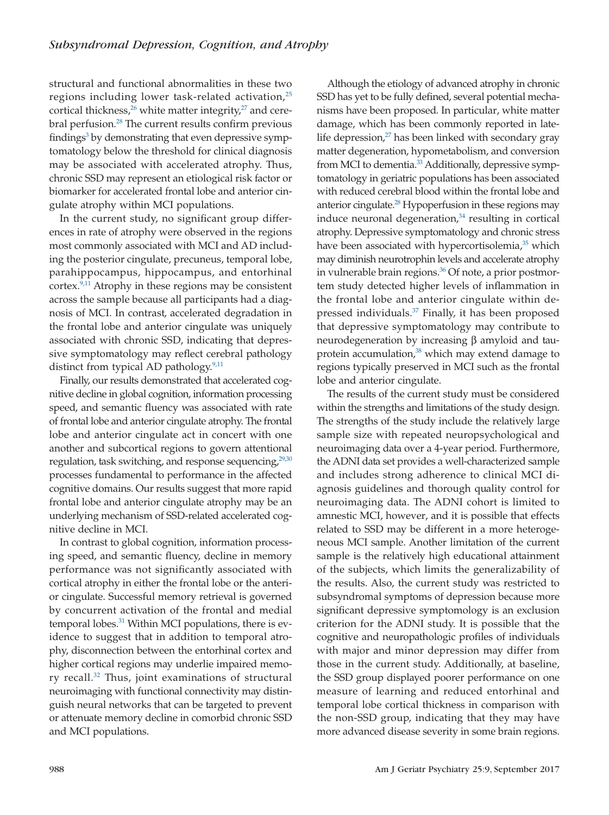structural and functional abnormalities in these two regions including lower task-related activation, $25$ cortical thickness,<sup>26</sup> white matter integrity,<sup>27</sup> and cerebral perfusion.<sup>28</sup> The current results confirm previous findings<sup>3</sup> by demonstrating that even depressive symptomatology below the threshold for clinical diagnosis may be associated with accelerated atrophy. Thus, chronic SSD may represent an etiological risk factor or biomarker for accelerated frontal lobe and anterior cingulate atrophy within MCI populations.

In the current study, no significant group differences in rate of atrophy were observed in the regions most commonly associated with MCI and AD including the posterior cingulate, precuneus, temporal lobe, parahippocampus, hippocampus, and entorhinal cortex[.9,11](#page-10-7) Atrophy in these regions may be consistent across the sample because all participants had a diagnosis of MCI. In contrast, accelerated degradation in the frontal lobe and anterior cingulate was uniquely associated with chronic SSD, indicating that depressive symptomatology may reflect cerebral pathology distinct from typical AD pathology.<sup>9,11</sup>

Finally, our results demonstrated that accelerated cognitive decline in global cognition, information processing speed, and semantic fluency was associated with rate of frontal lobe and anterior cingulate atrophy. The frontal lobe and anterior cingulate act in concert with one another and subcortical regions to govern attentional regulation, task switching, and response sequencing,<sup>29,30</sup> processes fundamental to performance in the affected cognitive domains. Our results suggest that more rapid frontal lobe and anterior cingulate atrophy may be an underlying mechanism of SSD-related accelerated cognitive decline in MCI.

In contrast to global cognition, information processing speed, and semantic fluency, decline in memory performance was not significantly associated with cortical atrophy in either the frontal lobe or the anterior cingulate. Successful memory retrieval is governed by concurrent activation of the frontal and medial temporal lobes.<sup>31</sup> Within MCI populations, there is evidence to suggest that in addition to temporal atrophy, disconnection between the entorhinal cortex and higher cortical regions may underlie impaired memory recall[.32](#page-10-27) Thus, joint examinations of structural neuroimaging with functional connectivity may distinguish neural networks that can be targeted to prevent or attenuate memory decline in comorbid chronic SSD and MCI populations.

Although the etiology of advanced atrophy in chronic SSD has yet to be fully defined, several potential mechanisms have been proposed. In particular, white matter damage, which has been commonly reported in latelife depression, $27$  has been linked with secondary gray matter degeneration, hypometabolism, and conversion from MCI to dementia.<sup>33</sup> Additionally, depressive symptomatology in geriatric populations has been associated with reduced cerebral blood within the frontal lobe and anterior cingulate[.28](#page-10-24) Hypoperfusion in these regions may induce neuronal degeneration, $34$  resulting in cortical atrophy. Depressive symptomatology and chronic stress have been associated with hypercortisolemia, $35$  which may diminish neurotrophin levels and accelerate atrophy in vulnerable brain regions.<sup>36</sup> Of note, a prior postmortem study detected higher levels of inflammation in the frontal lobe and anterior cingulate within depressed individuals[.37](#page-11-4) Finally, it has been proposed that depressive symptomatology may contribute to neurodegeneration by increasing β amyloid and tauprotein accumulation, $38$  which may extend damage to regions typically preserved in MCI such as the frontal lobe and anterior cingulate.

The results of the current study must be considered within the strengths and limitations of the study design. The strengths of the study include the relatively large sample size with repeated neuropsychological and neuroimaging data over a 4-year period. Furthermore, the ADNI data set provides a well-characterized sample and includes strong adherence to clinical MCI diagnosis guidelines and thorough quality control for neuroimaging data. The ADNI cohort is limited to amnestic MCI, however, and it is possible that effects related to SSD may be different in a more heterogeneous MCI sample. Another limitation of the current sample is the relatively high educational attainment of the subjects, which limits the generalizability of the results. Also, the current study was restricted to subsyndromal symptoms of depression because more significant depressive symptomology is an exclusion criterion for the ADNI study. It is possible that the cognitive and neuropathologic profiles of individuals with major and minor depression may differ from those in the current study. Additionally, at baseline, the SSD group displayed poorer performance on one measure of learning and reduced entorhinal and temporal lobe cortical thickness in comparison with the non-SSD group, indicating that they may have more advanced disease severity in some brain regions.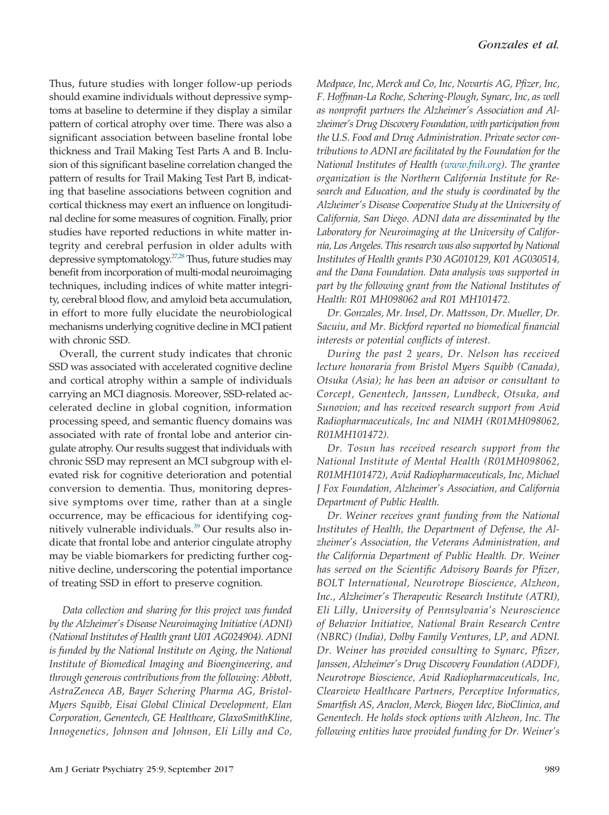Thus, future studies with longer follow-up periods should examine individuals without depressive symptoms at baseline to determine if they display a similar pattern of cortical atrophy over time. There was also a significant association between baseline frontal lobe thickness and Trail Making Test Parts A and B. Inclusion of this significant baseline correlation changed the pattern of results for Trail Making Test Part B, indicating that baseline associations between cognition and cortical thickness may exert an influence on longitudinal decline for some measures of cognition. Finally, prior studies have reported reductions in white matter integrity and cerebral perfusion in older adults with depressive symptomatolog[y.27,28](#page-10-23) Thus, future studies may benefit from incorporation of multi-modal neuroimaging techniques, including indices of white matter integrity, cerebral blood flow, and amyloid beta accumulation, in effort to more fully elucidate the neurobiological mechanisms underlying cognitive decline in MCI patient with chronic SSD.

Overall, the current study indicates that chronic SSD was associated with accelerated cognitive decline and cortical atrophy within a sample of individuals carrying an MCI diagnosis. Moreover, SSD-related accelerated decline in global cognition, information processing speed, and semantic fluency domains was associated with rate of frontal lobe and anterior cingulate atrophy. Our results suggest that individuals with chronic SSD may represent an MCI subgroup with elevated risk for cognitive deterioration and potential conversion to dementia. Thus, monitoring depressive symptoms over time, rather than at a single occurrence, may be efficacious for identifying cognitively vulnerable individuals[.39](#page-11-6) Our results also indicate that frontal lobe and anterior cingulate atrophy may be viable biomarkers for predicting further cognitive decline, underscoring the potential importance of treating SSD in effort to preserve cognition.

*Data collection and sharing for this project was funded by the Alzheimer's Disease Neuroimaging Initiative (ADNI) (National Institutes of Health grant U01 AG024904). ADNI is funded by the National Institute on Aging, the National Institute of Biomedical Imaging and Bioengineering, and through generous contributions from the following: Abbott, AstraZeneca AB, Bayer Schering Pharma AG, Bristol-Myers Squibb, Eisai Global Clinical Development, Elan Corporation, Genentech, GE Healthcare, GlaxoSmithKline, Innogenetics, Johnson and Johnson, Eli Lilly and Co,* *Medpace, Inc, Merck and Co, Inc, Novartis AG, Pfizer, Inc, F. Hoffman-La Roche, Schering-Plough, Synarc, Inc, as well as nonprofit partners the Alzheimer's Association and Alzheimer's Drug Discovery Foundation, with participation from the U.S. Food and Drug Administration. Private sector contributions to ADNI are facilitated by the Foundation for the National Institutes of Health [\(www.fnih.org\)](http://www.fnih.org). The grantee organization is the Northern California Institute for Research and Education, and the study is coordinated by the Alzheimer's Disease Cooperative Study at the University of California, San Diego. ADNI data are disseminated by the Laboratory for Neuroimaging at the University of California, Los Angeles. This research was also supported by National Institutes of Health grants P30 AG010129, K01 AG030514, and the Dana Foundation. Data analysis was supported in part by the following grant from the National Institutes of Health: R01 MH098062 and R01 MH101472.*

*Dr. Gonzales, Mr. Insel, Dr. Mattsson, Dr. Mueller, Dr. Sacuiu, and Mr. Bickford reported no biomedical financial interests or potential conflicts of interest.*

*During the past 2 years, Dr. Nelson has received lecture honoraria from Bristol Myers Squibb (Canada), Otsuka (Asia); he has been an advisor or consultant to Corcept, Genentech, Janssen, Lundbeck, Otsuka, and Sunovion; and has received research support from Avid Radiopharmaceuticals, Inc and NIMH (R01MH098062, R01MH101472).*

*Dr. Tosun has received research support from the National Institute of Mental Health (R01MH098062, R01MH101472), Avid Radiopharmaceuticals, Inc, Michael J Fox Foundation, Alzheimer's Association, and California Department of Public Health.*

*Dr. Weiner receives grant funding from the National Institutes of Health, the Department of Defense, the Alzheimer's Association, the Veterans Administration, and the California Department of Public Health. Dr. Weiner has served on the Scientific Advisory Boards for Pfizer, BOLT International, Neurotrope Bioscience, Alzheon, Inc., Alzheimer's Therapeutic Research Institute (ATRI), Eli Lilly, University of Pennsylvania's Neuroscience of Behavior Initiative, National Brain Research Centre (NBRC) (India), Dolby Family Ventures, LP, and ADNI. Dr. Weiner has provided consulting to Synarc, Pfizer, Janssen, Alzheimer's Drug Discovery Foundation (ADDF), Neurotrope Bioscience, Avid Radiopharmaceuticals, Inc, Clearview Healthcare Partners, Perceptive Informatics, Smartfish AS, Araclon, Merck, Biogen Idec, BioClinica, and Genentech. He holds stock options with Alzheon, Inc. The following entities have provided funding for Dr. Weiner's*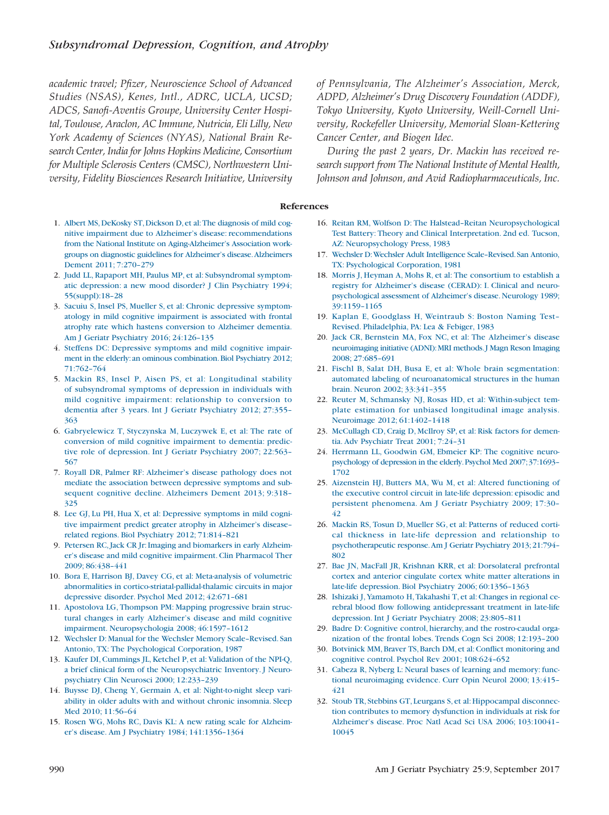*academic travel; Pfizer, Neuroscience School of Advanced Studies (NSAS), Kenes, Intl., ADRC, UCLA, UCSD; ADCS, Sanofi-Aventis Groupe, University Center Hospital, Toulouse, Araclon, AC Immune, Nutricia, Eli Lilly, New York Academy of Sciences (NYAS), National Brain Research Center, India for Johns Hopkins Medicine, Consortium for Multiple Sclerosis Centers (CMSC), Northwestern University, Fidelity Biosciences Research Initiative, University*

<span id="page-10-0"></span>1. [Albert MS,DeKosky ST,Dickson D,et al:The diagnosis of mild cog](http://refhub.elsevier.com/S1064-7481(17)30303-2/sr0010)[nitive impairment due to Alzheimer's disease: recommendations](http://refhub.elsevier.com/S1064-7481(17)30303-2/sr0010) [from the National Institute on Aging-Alzheimer's Association work](http://refhub.elsevier.com/S1064-7481(17)30303-2/sr0010)[groups on diagnostic guidelines for Alzheimer's disease.Alzheimers](http://refhub.elsevier.com/S1064-7481(17)30303-2/sr0010) [Dement 2011; 7:270–279](http://refhub.elsevier.com/S1064-7481(17)30303-2/sr0010)

- <span id="page-10-1"></span>2. [Judd LL, Rapaport MH, Paulus MP, et al: Subsyndromal symptom](http://refhub.elsevier.com/S1064-7481(17)30303-2/sr0015)[atic depression: a new mood disorder? J Clin Psychiatry 1994;](http://refhub.elsevier.com/S1064-7481(17)30303-2/sr0015) [55\(suppl\):18–28](http://refhub.elsevier.com/S1064-7481(17)30303-2/sr0015)
- <span id="page-10-2"></span>3. [Sacuiu S, Insel PS, Mueller S, et al: Chronic depressive symptom](http://refhub.elsevier.com/S1064-7481(17)30303-2/sr0020)[atology in mild cognitive impairment is associated with frontal](http://refhub.elsevier.com/S1064-7481(17)30303-2/sr0020) [atrophy rate which hastens conversion to Alzheimer dementia.](http://refhub.elsevier.com/S1064-7481(17)30303-2/sr0020) [Am J Geriatr Psychiatry 2016; 24:126–135](http://refhub.elsevier.com/S1064-7481(17)30303-2/sr0020)
- <span id="page-10-3"></span>4. [Steffens DC: Depressive symptoms and mild cognitive impair](http://refhub.elsevier.com/S1064-7481(17)30303-2/sr0025)[ment in the elderly:an ominous combination.Biol Psychiatry 2012;](http://refhub.elsevier.com/S1064-7481(17)30303-2/sr0025) [71:762–764](http://refhub.elsevier.com/S1064-7481(17)30303-2/sr0025)
- <span id="page-10-4"></span>5. [Mackin RS, Insel P, Aisen PS, et al: Longitudinal stability](http://refhub.elsevier.com/S1064-7481(17)30303-2/sr0030) [of subsyndromal symptoms of depression in individuals with](http://refhub.elsevier.com/S1064-7481(17)30303-2/sr0030) [mild cognitive impairment: relationship to conversion to](http://refhub.elsevier.com/S1064-7481(17)30303-2/sr0030) [dementia after 3 years. Int J Geriatr Psychiatry 2012; 27:355–](http://refhub.elsevier.com/S1064-7481(17)30303-2/sr0030) [363](http://refhub.elsevier.com/S1064-7481(17)30303-2/sr0030)
- <span id="page-10-5"></span>6. [Gabryelewicz T, Styczynska M, Luczywek E, et al: The rate of](http://refhub.elsevier.com/S1064-7481(17)30303-2/sr0035) [conversion of mild cognitive impairment to dementia: predic](http://refhub.elsevier.com/S1064-7481(17)30303-2/sr0035)[tive role of depression. Int J Geriatr Psychiatry 2007; 22:563–](http://refhub.elsevier.com/S1064-7481(17)30303-2/sr0035) [567](http://refhub.elsevier.com/S1064-7481(17)30303-2/sr0035)
- 7. [Royall DR, Palmer RF: Alzheimer's disease pathology does not](http://refhub.elsevier.com/S1064-7481(17)30303-2/sr0040) [mediate the association between depressive symptoms and sub](http://refhub.elsevier.com/S1064-7481(17)30303-2/sr0040)[sequent cognitive decline. Alzheimers Dement 2013; 9:318–](http://refhub.elsevier.com/S1064-7481(17)30303-2/sr0040) [325](http://refhub.elsevier.com/S1064-7481(17)30303-2/sr0040)
- <span id="page-10-6"></span>8. [Lee GJ, Lu PH, Hua X, et al: Depressive symptoms in mild cogni](http://refhub.elsevier.com/S1064-7481(17)30303-2/sr0045)[tive impairment predict greater atrophy in Alzheimer's disease–](http://refhub.elsevier.com/S1064-7481(17)30303-2/sr0045) [related regions. Biol Psychiatry 2012; 71:814–821](http://refhub.elsevier.com/S1064-7481(17)30303-2/sr0045)
- <span id="page-10-7"></span>9. [Petersen RC,Jack CR Jr:Imaging and biomarkers in early Alzheim](http://refhub.elsevier.com/S1064-7481(17)30303-2/sr0050)[er's disease and mild cognitive impairment. Clin Pharmacol Ther](http://refhub.elsevier.com/S1064-7481(17)30303-2/sr0050) [2009; 86:438–441](http://refhub.elsevier.com/S1064-7481(17)30303-2/sr0050)
- <span id="page-10-8"></span>10. [Bora E, Harrison BJ, Davey CG, et al: Meta-analysis of volumetric](http://refhub.elsevier.com/S1064-7481(17)30303-2/sr0055) [abnormalities in cortico-striatal-pallidal-thalamic circuits in major](http://refhub.elsevier.com/S1064-7481(17)30303-2/sr0055) [depressive disorder. Psychol Med 2012; 42:671–681](http://refhub.elsevier.com/S1064-7481(17)30303-2/sr0055)
- 11. [Apostolova LG, Thompson PM: Mapping progressive brain struc](http://refhub.elsevier.com/S1064-7481(17)30303-2/sr0060)[tural changes in early Alzheimer's disease and mild cognitive](http://refhub.elsevier.com/S1064-7481(17)30303-2/sr0060) [impairment. Neuropsychologia 2008; 46:1597–1612](http://refhub.elsevier.com/S1064-7481(17)30303-2/sr0060)
- <span id="page-10-9"></span>12. [Wechsler D: Manual for the Wechsler Memory Scale–Revised. San](http://refhub.elsevier.com/S1064-7481(17)30303-2/sr0065) [Antonio, TX: The Psychological Corporation, 1987](http://refhub.elsevier.com/S1064-7481(17)30303-2/sr0065)
- <span id="page-10-10"></span>13. [Kaufer DI, Cummings JL, Ketchel P, et al: Validation of the NPI-Q,](http://refhub.elsevier.com/S1064-7481(17)30303-2/sr0070) [a brief clinical form of the Neuropsychiatric Inventory. J Neuro](http://refhub.elsevier.com/S1064-7481(17)30303-2/sr0070)[psychiatry Clin Neurosci 2000; 12:233–239](http://refhub.elsevier.com/S1064-7481(17)30303-2/sr0070)
- <span id="page-10-11"></span>14. [Buysse DJ, Cheng Y, Germain A, et al: Night-to-night sleep vari](http://refhub.elsevier.com/S1064-7481(17)30303-2/sr0075)[ability in older adults with and without chronic insomnia. Sleep](http://refhub.elsevier.com/S1064-7481(17)30303-2/sr0075) [Med 2010; 11:56–64](http://refhub.elsevier.com/S1064-7481(17)30303-2/sr0075)
- <span id="page-10-12"></span>15. [Rosen WG, Mohs RC, Davis KL: A new rating scale for Alzheim](http://refhub.elsevier.com/S1064-7481(17)30303-2/sr0080)[er's disease. Am J Psychiatry 1984; 141:1356–1364](http://refhub.elsevier.com/S1064-7481(17)30303-2/sr0080)

*of Pennsylvania, The Alzheimer's Association, Merck, ADPD, Alzheimer's Drug Discovery Foundation (ADDF), Tokyo University, Kyoto University, Weill-Cornell University, Rockefeller University, Memorial Sloan-Kettering Cancer Center, and Biogen Idec.*

*During the past 2 years, Dr. Mackin has received research support from The National Institute of Mental Health, Johnson and Johnson, and Avid Radiopharmaceuticals, Inc.*

#### **References**

- <span id="page-10-13"></span>16. [Reitan RM, Wolfson D: The Halstead–Reitan Neuropsychological](http://refhub.elsevier.com/S1064-7481(17)30303-2/sr0085) [Test Battery: Theory and Clinical Interpretation. 2nd ed. Tucson,](http://refhub.elsevier.com/S1064-7481(17)30303-2/sr0085) [AZ: Neuropsychology Press, 1983](http://refhub.elsevier.com/S1064-7481(17)30303-2/sr0085)
- <span id="page-10-14"></span>17. [Wechsler D:Wechsler Adult Intelligence Scale–Revised.San Antonio,](http://refhub.elsevier.com/S1064-7481(17)30303-2/sr0090) [TX: Psychological Corporation, 1981](http://refhub.elsevier.com/S1064-7481(17)30303-2/sr0090)
- <span id="page-10-15"></span>18. [Morris J, Heyman A, Mohs R, et al: The consortium to establish a](http://refhub.elsevier.com/S1064-7481(17)30303-2/sr0095) [registry for Alzheimer's disease \(CERAD\): I. Clinical and neuro](http://refhub.elsevier.com/S1064-7481(17)30303-2/sr0095)[psychological assessment of Alzheimer's disease.Neurology 1989;](http://refhub.elsevier.com/S1064-7481(17)30303-2/sr0095) [39:1159–1165](http://refhub.elsevier.com/S1064-7481(17)30303-2/sr0095)
- <span id="page-10-16"></span>19. [Kaplan E, Goodglass H, Weintraub S: Boston Naming Test–](http://refhub.elsevier.com/S1064-7481(17)30303-2/sr0100) [Revised. Philadelphia, PA: Lea & Febiger, 1983](http://refhub.elsevier.com/S1064-7481(17)30303-2/sr0100)
- <span id="page-10-17"></span>20. [Jack CR, Bernstein MA, Fox NC, et al: The Alzheimer's disease](http://refhub.elsevier.com/S1064-7481(17)30303-2/sr0105) [neuroimaging initiative \(ADNI\):MRI methods.J Magn Reson Imaging](http://refhub.elsevier.com/S1064-7481(17)30303-2/sr0105) [2008; 27:685–691](http://refhub.elsevier.com/S1064-7481(17)30303-2/sr0105)
- <span id="page-10-18"></span>21. [Fischl B, Salat DH, Busa E, et al: Whole brain segmentation:](http://refhub.elsevier.com/S1064-7481(17)30303-2/sr0110) [automated labeling of neuroanatomical structures in the human](http://refhub.elsevier.com/S1064-7481(17)30303-2/sr0110) [brain. Neuron 2002; 33:341–355](http://refhub.elsevier.com/S1064-7481(17)30303-2/sr0110)
- 22. [Reuter M, Schmansky NJ, Rosas HD, et al: Within-subject tem](http://refhub.elsevier.com/S1064-7481(17)30303-2/sr0115)[plate estimation for unbiased longitudinal image analysis.](http://refhub.elsevier.com/S1064-7481(17)30303-2/sr0115) [Neuroimage 2012; 61:1402–1418](http://refhub.elsevier.com/S1064-7481(17)30303-2/sr0115)
- <span id="page-10-19"></span>23. [McCullagh CD, Craig D, McIlroy SP, et al: Risk factors for demen](http://refhub.elsevier.com/S1064-7481(17)30303-2/sr0120)[tia. Adv Psychiatr Treat 2001; 7:24–31](http://refhub.elsevier.com/S1064-7481(17)30303-2/sr0120)
- <span id="page-10-20"></span>24. [Herrmann LL, Goodwin GM, Ebmeier KP: The cognitive neuro](http://refhub.elsevier.com/S1064-7481(17)30303-2/sr0125)[psychology of depression in the elderly.Psychol Med 2007;37:1693–](http://refhub.elsevier.com/S1064-7481(17)30303-2/sr0125) [1702](http://refhub.elsevier.com/S1064-7481(17)30303-2/sr0125)
- <span id="page-10-21"></span>25. [Aizenstein HJ, Butters MA, Wu M, et al: Altered functioning of](http://refhub.elsevier.com/S1064-7481(17)30303-2/sr0130) [the executive control circuit in late-life depression: episodic and](http://refhub.elsevier.com/S1064-7481(17)30303-2/sr0130) [persistent phenomena. Am J Geriatr Psychiatry 2009; 17:30–](http://refhub.elsevier.com/S1064-7481(17)30303-2/sr0130) [42](http://refhub.elsevier.com/S1064-7481(17)30303-2/sr0130)
- <span id="page-10-22"></span>26. [Mackin RS, Tosun D, Mueller SG, et al: Patterns of reduced corti](http://refhub.elsevier.com/S1064-7481(17)30303-2/sr0135)[cal thickness in late-life depression and relationship to](http://refhub.elsevier.com/S1064-7481(17)30303-2/sr0135) [psychotherapeutic response.Am J Geriatr Psychiatry 2013;21:794–](http://refhub.elsevier.com/S1064-7481(17)30303-2/sr0135) [802](http://refhub.elsevier.com/S1064-7481(17)30303-2/sr0135)
- <span id="page-10-23"></span>27. [Bae JN, MacFall JR, Krishnan KRR, et al: Dorsolateral prefrontal](http://refhub.elsevier.com/S1064-7481(17)30303-2/sr0140) [cortex and anterior cingulate cortex white matter alterations in](http://refhub.elsevier.com/S1064-7481(17)30303-2/sr0140) [late-life depression. Biol Psychiatry 2006; 60:1356–1363](http://refhub.elsevier.com/S1064-7481(17)30303-2/sr0140)
- <span id="page-10-24"></span>28. [Ishizaki J, Yamamoto H, Takahashi T, et al: Changes in regional ce](http://refhub.elsevier.com/S1064-7481(17)30303-2/sr0145)[rebral blood flow following antidepressant treatment in late-life](http://refhub.elsevier.com/S1064-7481(17)30303-2/sr0145) [depression. Int J Geriatr Psychiatry 2008; 23:805–811](http://refhub.elsevier.com/S1064-7481(17)30303-2/sr0145)
- <span id="page-10-25"></span>29. [Badre D: Cognitive control, hierarchy, and the rostro-caudal orga](http://refhub.elsevier.com/S1064-7481(17)30303-2/sr0150)[nization of the frontal lobes. Trends Cogn Sci 2008; 12:193–200](http://refhub.elsevier.com/S1064-7481(17)30303-2/sr0150)
- 30. [Botvinick MM, Braver TS, Barch DM, et al: Conflict monitoring and](http://refhub.elsevier.com/S1064-7481(17)30303-2/sr0155) [cognitive control. Psychol Rev 2001; 108:624–652](http://refhub.elsevier.com/S1064-7481(17)30303-2/sr0155)
- <span id="page-10-26"></span>31. [Cabeza R, Nyberg L: Neural bases of learning and memory: func](http://refhub.elsevier.com/S1064-7481(17)30303-2/sr0160)[tional neuroimaging evidence. Curr Opin Neurol 2000; 13:415–](http://refhub.elsevier.com/S1064-7481(17)30303-2/sr0160) [421](http://refhub.elsevier.com/S1064-7481(17)30303-2/sr0160)
- <span id="page-10-27"></span>32. [Stoub TR, Stebbins GT, Leurgans S, et al: Hippocampal disconnec](http://refhub.elsevier.com/S1064-7481(17)30303-2/sr0165)[tion contributes to memory dysfunction in individuals at risk for](http://refhub.elsevier.com/S1064-7481(17)30303-2/sr0165) [Alzheimer's disease. Proc Natl Acad Sci USA 2006; 103:10041–](http://refhub.elsevier.com/S1064-7481(17)30303-2/sr0165) [10045](http://refhub.elsevier.com/S1064-7481(17)30303-2/sr0165)